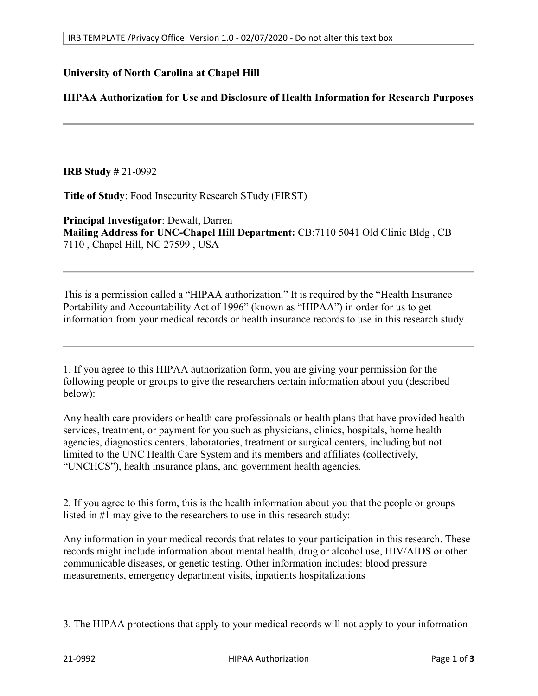## **University of North Carolina at Chapel Hill**

## **HIPAA Authorization for Use and Disclosure of Health Information for Research Purposes**

**IRB Study #** 21-0992

**Title of Study**: Food Insecurity Research STudy (FIRST)

**Principal Investigator**: Dewalt, Darren **Mailing Address for UNC-Chapel Hill Department:** CB:7110 5041 Old Clinic Bldg , CB 7110 , Chapel Hill, NC 27599 , USA

This is a permission called a "HIPAA authorization." It is required by the "Health Insurance Portability and Accountability Act of 1996" (known as "HIPAA") in order for us to get information from your medical records or health insurance records to use in this research study.

1. If you agree to this HIPAA authorization form, you are giving your permission for the following people or groups to give the researchers certain information about you (described below):

Any health care providers or health care professionals or health plans that have provided health services, treatment, or payment for you such as physicians, clinics, hospitals, home health agencies, diagnostics centers, laboratories, treatment or surgical centers, including but not limited to the UNC Health Care System and its members and affiliates (collectively, "UNCHCS"), health insurance plans, and government health agencies.

2. If you agree to this form, this is the health information about you that the people or groups listed in #1 may give to the researchers to use in this research study:

Any information in your medical records that relates to your participation in this research. These records might include information about mental health, drug or alcohol use, HIV/AIDS or other communicable diseases, or genetic testing. Other information includes: blood pressure measurements, emergency department visits, inpatients hospitalizations

3. The HIPAA protections that apply to your medical records will not apply to your information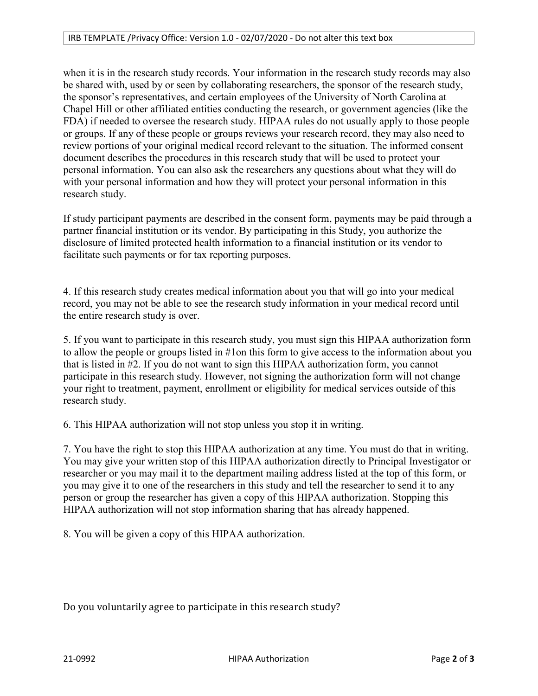when it is in the research study records. Your information in the research study records may also be shared with, used by or seen by collaborating researchers, the sponsor of the research study, the sponsor's representatives, and certain employees of the University of North Carolina at Chapel Hill or other affiliated entities conducting the research, or government agencies (like the FDA) if needed to oversee the research study. HIPAA rules do not usually apply to those people or groups. If any of these people or groups reviews your research record, they may also need to review portions of your original medical record relevant to the situation. The informed consent document describes the procedures in this research study that will be used to protect your personal information. You can also ask the researchers any questions about what they will do with your personal information and how they will protect your personal information in this research study.

If study participant payments are described in the consent form, payments may be paid through a partner financial institution or its vendor. By participating in this Study, you authorize the disclosure of limited protected health information to a financial institution or its vendor to facilitate such payments or for tax reporting purposes.

4. If this research study creates medical information about you that will go into your medical record, you may not be able to see the research study information in your medical record until the entire research study is over.

5. If you want to participate in this research study, you must sign this HIPAA authorization form to allow the people or groups listed in #1on this form to give access to the information about you that is listed in #2. If you do not want to sign this HIPAA authorization form, you cannot participate in this research study. However, not signing the authorization form will not change your right to treatment, payment, enrollment or eligibility for medical services outside of this research study.

6. This HIPAA authorization will not stop unless you stop it in writing.

7. You have the right to stop this HIPAA authorization at any time. You must do that in writing. You may give your written stop of this HIPAA authorization directly to Principal Investigator or researcher or you may mail it to the department mailing address listed at the top of this form, or you may give it to one of the researchers in this study and tell the researcher to send it to any person or group the researcher has given a copy of this HIPAA authorization. Stopping this HIPAA authorization will not stop information sharing that has already happened.

8. You will be given a copy of this HIPAA authorization.

Do you voluntarily agree to participate in this research study?